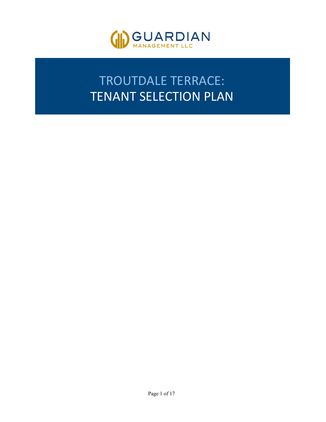

# TROUTDALE TERRACE: TENANT SELECTION PLAN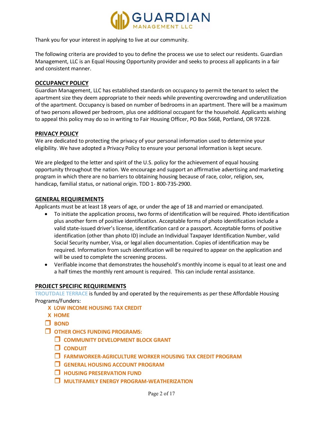

Thank you for your interest in applying to live at our community.

The following criteria are provided to you to define the process we use to select our residents. Guardian Management, LLC is an Equal Housing Opportunity provider and seeks to process all applicants in a fair and consistent manner.

## **OCCUPANCY POLICY**

Guardian Management, LLC has established standards on occupancy to permit the tenant to select the apartment size they deem appropriate to their needs while preventing overcrowding and underutilization of the apartment. Occupancy is based on number of bedrooms in an apartment. There will be a maximum of two persons allowed per bedroom, plus one additional occupant for the household. Applicants wishing to appeal this policy may do so in writing to Fair Housing Officer, PO Box 5668, Portland, OR 97228.

## **PRIVACY POLICY**

We are dedicated to protecting the privacy of your personal information used to determine your eligibility. We have adopted a Privacy Policy to ensure your personal information is kept secure.

We are pledged to the letter and spirit of the U.S. policy for the achievement of equal housing opportunity throughout the nation. We encourage and support an affirmative advertising and marketing program in which there are no barriers to obtaining housing because of race, color, religion, sex, handicap, familial status, or national origin. TDD 1- 800-735-2900.

#### **GENERAL REQUIREMENTS**

Applicants must be at least 18 years of age, or under the age of 18 and married or emancipated.

- To initiate the application process, two forms of identification will be required. Photo identification plus another form of positive identification. Acceptable forms of photo identification include a valid state-issued driver's license, identification card or a passport. Acceptable forms of positive identification (other than photo ID) include an Individual Taxpayer Identification Number, valid Social Security number, Visa, or legal alien documentation. Copies of identification may be required. Information from such identification will be required to appear on the application and will be used to complete the screening process.
- Verifiable income that demonstrates the household's monthly income is equal to at least one and a half times the monthly rent amount is required. This can include rental assistance.

#### **PROJECT SPECIFIC REQUIREMENTS**

**TROUTDALE TERRACE** is funded by and operated by the requirements as per these Affordable Housing Programs/Funders:

- **X LOW INCOME HOUSING TAX CREDIT**
- **X HOME**
- **BOND**
- **OTHER OHCS FUNDING PROGRAMS:**
	- **COMMUNITY DEVELOPMENT BLOCK GRANT**
	- **CONDUIT**
	- **FARMWORKER-AGRICULTURE WORKER HOUSING TAX CREDIT PROGRAM**
	- **GENERAL HOUSING ACCOUNT PROGRAM**
	- **HOUSING PRESERVATION FUND**
	- **MULTIFAMILY ENERGY PROGRAM-WEATHERIZATION**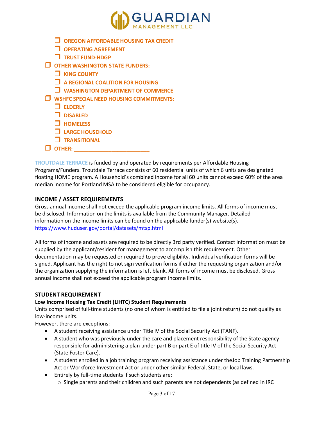

- **OREGON AFFORDABLE HOUSING TAX CREDIT**
- **OPERATING AGREEMENT**
- **TRUST FUND-HDGP**
- **OTHER WASHINGTON STATE FUNDERS:**
	- **KING COUNTY**
	- **A REGIONAL COALITION FOR HOUSING**
	- **WASHINGTON DEPARTMENT OF COMMERCE**
- **WSHFC SPECIAL NEED HOUSING COMMITMENTS:**
	- **ELDERLY**
	- **DISABLED**
	- **HOMELESS**
	- **LARGE HOUSEHOLD**
	- **TRANSITIONAL**
- $\Box$  OTHER:

**TROUTDALE TERRACE** is funded by and operated by requirements per Affordable Housing Programs/Funders. Troutdale Terrace consists of 60 residential units of which 6 units are designated floating HOME program. A Household's combined income for all 60 units cannot exceed 60% of the area median income for Portland MSA to be considered eligible for occupancy.

## **INCOME / ASSET REQUIREMENTS**

Gross annual income shall not exceed the applicable program income limits. All forms of income must be disclosed. Information on the limits is available from the Community Manager. Detailed information on the income limits can be found on the applicable funder(s) website(s). <https://www.huduser.gov/portal/datasets/mtsp.html>

All forms of income and assets are required to be directly 3rd party verified. Contact information must be supplied by the applicant/resident for management to accomplish this requirement. Other documentation may be requested or required to prove eligibility. Individual verification forms will be signed. Applicant has the right to not sign verification forms if either the requesting organization and/or the organization supplying the information is left blank. All forms of income must be disclosed. Gross annual income shall not exceed the applicable program income limits.

#### **STUDENT REQUIREMENT**

#### **Low Income Housing Tax Credit (LIHTC) Student Requirements**

Units comprised of full-time students (no one of whom is entitled to file a joint return) do not qualify as low-income units.

However, there are exceptions:

- A student receiving assistance under Title IV of the Social Security Act (TANF).
- A student who was previously under the care and placement responsibility of the State agency responsible for administering a plan under part B or part E of title IV of the Social Security Act (State Foster Care).
- A student enrolled in a job training program receiving assistance under theJob Training Partnership Act or Workforce Investment Act or under other similar Federal, State, or local laws.
- Entirely by full-time students if such students are:
	- $\circ$  Single parents and their children and such parents are not dependents (as defined in IRC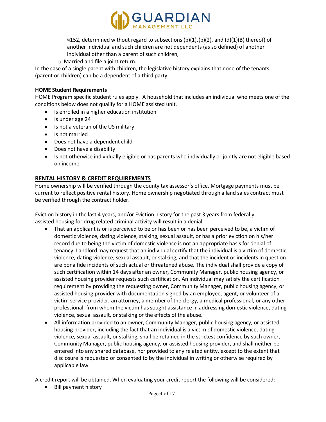

§152, determined without regard to subsections  $(b)(1),(b)(2)$ , and  $(d)(1)(B)$  thereof) of another individual and such children are not dependents (as so defined) of another individual other than a parent of such children,

o Married and file a joint return.

In the case of a single parent with children, the legislative history explains that none of the tenants (parent or children) can be a dependent of a third party.

#### **HOME Student Requirements**

HOME Program specific student rules apply. A household that includes an individual who meets one of the conditions below does not qualify for a HOME assisted unit.

- Is enrolled in a higher education institution
- Is under age 24
- Is not a veteran of the US military
- Is not married
- Does not have a dependent child
- Does not have a disability
- Is not otherwise individually eligible or has parents who individually or jointly are not eligible based on income

## **RENTAL HISTORY & CREDIT REQUIREMENTS**

Home ownership will be verified through the county tax assessor's office. Mortgage payments must be current to reflect positive rental history. Home ownership negotiated through a land sales contract must be verified through the contract holder.

Eviction history in the last 4 years, and/or Eviction history for the past 3 years from federally assisted housing for drug related criminal activity will result in a denial.

- That an applicant is or is perceived to be or has been or has been perceived to be, a victim of domestic violence, dating violence, stalking, sexual assault, or has a prior eviction on his/her record due to being the victim of domestic violence is not an appropriate basis for denial of tenancy. Landlord may request that an individual certify that the individual is a victim of domestic violence, dating violence, sexual assault, or stalking, and that the incident or incidents in question are bona fide incidents of such actual or threatened abuse. The individual shall provide a copy of such certification within 14 days after an owner, Community Manager, public housing agency, or assisted housing provider requests such certification. An individual may satisfy the certification requirement by providing the requesting owner, Community Manager, public housing agency, or assisted housing provider with documentation signed by an employee, agent, or volunteer of a victim service provider, an attorney, a member of the clergy, a medical professional, or any other professional, from whom the victim has sought assistance in addressing domestic violence, dating violence, sexual assault, or stalking or the effects of the abuse.
- All information provided to an owner, Community Manager, public housing agency, or assisted housing provider, including the fact that an individual is a victim of domestic violence, dating violence, sexual assault, or stalking, shall be retained in the strictest confidence by such owner, Community Manager, public housing agency, or assisted housing provider, and shall neither be entered into any shared database, nor provided to any related entity, except to the extent that disclosure is requested or consented to by the individual in writing or otherwise required by applicable law.

A credit report will be obtained. When evaluating your credit report the following will be considered:

• Bill payment history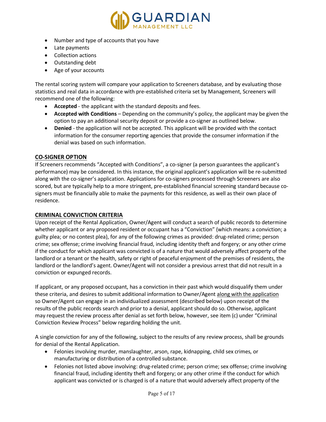

- Number and type of accounts that you have
- Late payments
- Collection actions
- Outstanding debt
- Age of your accounts

The rental scoring system will compare your application to Screeners database, and by evaluating those statistics and real data in accordance with pre-established criteria set by Management, Screeners will recommend one of the following:

- **Accepted** the applicant with the standard deposits and fees.
- **Accepted with Conditions** Depending on the community's policy, the applicant may be given the option to pay an additional security deposit or provide a co-signer as outlined below.
- **Denied**  the application will not be accepted. This applicant will be provided with the contact information for the consumer reporting agencies that provide the consumer information if the denial was based on such information.

## **CO-SIGNER OPTION**

If Screeners recommends "Accepted with Conditions", a co-signer (a person guarantees the applicant's performance) may be considered. In this instance, the original applicant's application will be re-submitted along with the co-signer's application. Applications for co-signers processed through Screeners are also scored, but are typically help to a more stringent, pre-established financial screening standard because cosigners must be financially able to make the payments for this residence, as well as their own place of residence.

## **CRIMINAL CONVICTION CRITERIA**

Upon receipt of the Rental Application, Owner/Agent will conduct a search of public records to determine whether applicant or any proposed resident or occupant has a "Conviction" (which means: a conviction; a guilty plea; or no contest plea), for any of the following crimes as provided: drug-related crime; person crime; sex offense; crime involving financial fraud, including identity theft and forgery; or any other crime if the conduct for which applicant was convicted is of a nature that would adversely affect property of the landlord or a tenant or the health, safety or right of peaceful enjoyment of the premises of residents, the landlord or the landlord's agent. Owner/Agent will not consider a previous arrest that did not result in a conviction or expunged records.

If applicant, or any proposed occupant, has a conviction in their past which would disqualify them under these criteria, and desires to submit additional information to Owner/Agent along with the application so Owner/Agent can engage in an individualized assessment (described below) upon receipt of the results of the public records search and prior to a denial, applicant should do so. Otherwise, applicant may request the review process after denial as set forth below, however, see item (c) under "Criminal Conviction Review Process" below regarding holding the unit.

A single conviction for any of the following, subject to the results of any review process, shall be grounds for denial of the Rental Application.

- Felonies involving murder, manslaughter, arson, rape, kidnapping, child sex crimes, or manufacturing or distribution of a controlled substance.
- Felonies not listed above involving: drug-related crime; person crime; sex offense; crime involving financial fraud, including identity theft and forgery; or any other crime if the conduct for which applicant was convicted or is charged is of a nature that would adversely affect property of the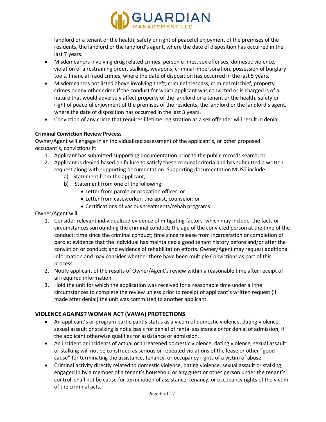

landlord or a tenant or the health, safety or right of peaceful enjoyment of the premises of the residents, the landlord or the landlord's agent, where the date of disposition has occurred in the last 7 years.

- Misdemeanors involving drug related crimes, person crimes, sex offenses, domestic violence, violation of a restraining order, stalking, weapons, criminal impersonation, possession of burglary tools, financial fraud crimes, where the date of disposition has occurred in the last 5 years.
- Misdemeanors not listed above involving theft, criminal trespass, criminal mischief, property crimes or any other crime if the conduct for which applicant was convicted or is charged is of a nature that would adversely affect property of the landlord or a tenant or the health, safety or right of peaceful enjoyment of the premises of the residents, the landlord or the landlord's agent, where the date of disposition has occurred in the last 3 years.
- Conviction of any crime that requires lifetime registration as a sex offender will result in denial.

## **Criminal Conviction Review Process**

Owner/Agent will engage in an individualized assessment of the applicant's, or other proposed occupant's, convictions if:

- 1. Applicant has submitted supporting documentation prior to the public records search; or
- 2. Applicant is denied based on failure to satisfy these criminal criteria and has submitted a written request along with supporting documentation. Supporting documentation MUST include:
	- a) Statement from the applicant;
	- b) Statement from one of the following:
		- Letter from parole or probation officer; or
		- Letter from caseworker, therapist, counselor; or
		- Certifications of various treatments/rehab programs

Owner/Agent will:

- 1. Consider relevant individualized evidence of mitigating factors, which may include: the facts or circumstances surrounding the criminal conduct; the age of the convicted person at the time of the conduct; time since the criminal conduct; time since release from incarceration or completion of parole; evidence that the individual has maintained a good tenant history before and/or after the conviction or conduct; and evidence of rehabilitation efforts. Owner/Agent may request additional information and may consider whether there have been multiple Convictions as part of this process.
- 2. Notify applicant of the results of Owner/Agent's review within a reasonable time after receipt of all required information.
- 3. Hold the unit for which the application was received for a reasonable time under all the circumstances to complete the review unless prior to receipt of applicant's written request (if made after denial) the unit was committed to another applicant.

## **VIOLENCE AGAINST WOMAN ACT (VAWA) PROTECTIONS**

- An applicant's or program participant's status as a victim of domestic violence, dating violence, sexual assault or stalking is not a basis for denial of rental assistance or for denial of admission, if the applicant otherwise qualifies for assistance or admission.
- An incident or incidents of actual or threatened domestic violence, dating violence, sexual assault or stalking will not be construed as serious or repeated violations of the lease or other "good cause" for terminating the assistance, tenancy, or occupancy rights of a victim of abuse.
- Criminal activity directly related to domestic violence, dating violence, sexual assault or stalking, engaged in by a member of a tenant's household or any guest or other person under the tenant's control, shall not be cause for termination of assistance, tenancy, or occupancy rights of the victim of the criminal acts.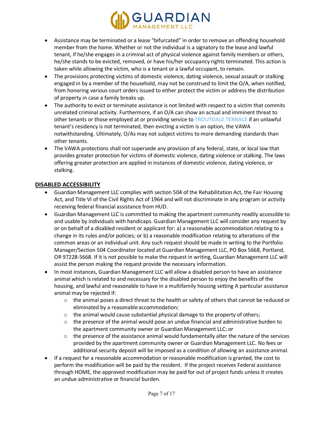

- Assistance may be terminated or a lease "bifurcated" in order to remove an offending household member from the home. Whether or not the individual is a signatory to the lease and lawful tenant, if he/she engages in a criminal act of physical violence against family members or others, he/she stands to be evicted, removed, or have his/her occupancy rights terminated. This action is taken while allowing the victim, who is a tenant or a lawful occupant, to remain.
- The provisions protecting victims of domestic violence, dating violence, sexual assault or stalking engaged in by a member of the household, may not be construed to limit the O/A, when notified, from honoring various court orders issued to either protect the victim or address the distribution of property in case a family breaks up.
- The authority to evict or terminate assistance is not limited with respect to a victim that commits unrelated criminal activity. Furthermore, if an O/A can show an actual and imminent threat to other tenants or those employed at or providing service to **TROUTDALE TERRACE** if an unlawful tenant's residency is not terminated, then evicting a victim is an option, the VAWA notwithstanding. Ultimately, O/As may not subject victims to more demanding standards than other tenants.
- The VAWA protections shall not supersede any provision of any federal, state, or local law that provides greater protection for victims of domestic violence, dating violence or stalking. The laws offering greater protection are applied in instances of domestic violence, dating violence, or stalking.

## **DISABLED ACCESSIBILITY**

- Guardian Management LLC complies with section 504 of the Rehabilitation Act, the Fair Housing Act, and Title VI of the Civil Rights Act of 1964 and will not discriminate in any program or activity receiving federal financial assistance from HUD.
- Guardian Management LLC is committed to making the apartment community readily accessible to and usable by individuals with handicaps. Guardian Management LLC will consider any request by or on behalf of a disabled resident or applicant for: a) a reasonable accommodation relating to a change in its rules and/or policies; or b) a reasonable modification relating to alterations of the common areas or an individual unit. Any such request should be made in writing to the Portfolio Manager/Section 504 Coordinator located at Guardian Management LLC, PO Box 5668, Portland, OR 97228-5668. If it is not possible to make the request in writing, Guardian Management LLC will assist the person making the request provide the necessary information.
- In most instances, Guardian Management LLC will allow a disabled person to have an assistance animal which is related to and necessary for the disabled person to enjoy the benefits of the housing, and lawful and reasonable to have in a multifamily housing setting A particular assistance animal may be rejected if:
	- $\circ$  the animal poses a direct threat to the health or safety of others that cannot be reduced or eliminated by a reasonableaccommodation;
	- $\circ$  the animal would cause substantial physical damage to the property of others;
	- $\circ$  the presence of the animal would pose an undue financial and administrative burden to the apartment community owner or Guardian Management LLC; or
	- $\circ$  the presence of the assistance animal would fundamentally alter the nature of the services provided by the apartment community owner or Guardian Management LLC. No fees or additional security deposit will be imposed as a condition of allowing an assistance animal.
- If a request for a reasonable accommodation or reasonable modification is granted, the cost to perform the modification will be paid by the resident. If the project receives Federal assistance through HOME, the approved modification may be paid for out of project funds unless it creates an undue administrative or financial burden.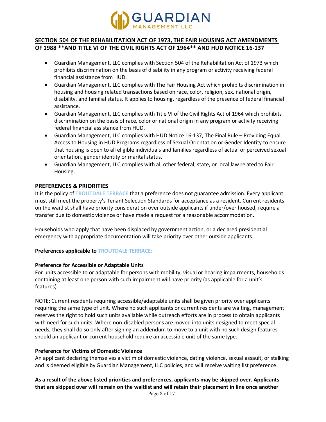

## **SECTION 504 OF THE REHABILITATION ACT OF 1973, THE FAIR HOUSING ACT AMENDMENTS OF 1988 \*\*AND TITLE VI OF THE CIVIL RIGHTS ACT OF 1964\*\* AND HUD NOTICE 16-137**

- Guardian Management, LLC complies with Section 504 of the Rehabilitation Act of 1973 which prohibits discrimination on the basis of disability in any program or activity receiving federal financial assistance from HUD.
- Guardian Management, LLC complies with The Fair Housing Act which prohibits discrimination in housing and housing related transactions based on race, color, religion, sex, national origin, disability, and familial status. It applies to housing, regardless of the presence of federal financial assistance.
- Guardian Management, LLC complies with Title VI of the Civil Rights Act of 1964 which prohibits discrimination on the basis of race, color or national origin in any program or activity receiving federal financial assistance from HUD.
- Guardian Management, LLC complies with HUD Notice 16-137, The Final Rule Providing Equal Access to Housing in HUD Programs regardless of Sexual Orientation or Gender Identity to ensure that housing is open to all eligible individuals and families regardless of actual or perceived sexual orientation, gender identity or marital status.
- Guardian Management, LLC complies with all other federal, state, or local law related to Fair Housing.

## **PREFERENCES & PRIORITIES**

It is the policy of **TROUTDALE TERRACE** that a preference does not guarantee admission. Every applicant must still meet the property's Tenant Selection Standards for acceptance as a resident. Current residents on the waitlist shall have priority consideration over outside applicants if under/over housed, require a transfer due to domestic violence or have made a request for a reasonable accommodation.

Households who apply that have been displaced by government action, or a declared presidential emergency with appropriate documentation will take priority over other outside applicants.

## **Preferences applicable to TROUTDALE TERRACE:**

## **Preference for Accessible or Adaptable Units**

For units accessible to or adaptable for persons with mobility, visual or hearing impairments, households containing at least one person with such impairment will have priority (as applicable for a unit's features).

NOTE: Current residents requiring accessible/adaptable units shall be given priority over applicants requiring the same type of unit. Where no such applicants or current residents are waiting, management reserves the right to hold such units available while outreach efforts are in process to obtain applicants with need for such units. Where non-disabled persons are moved into units designed to meet special needs, they shall do so only after signing an addendum to move to a unit with no such design features should an applicant or current household require an accessible unit of the sametype.

## **Preference for Victims of Domestic Violence**

An applicant declaring themselves a victim of domestic violence, dating violence, sexual assault, or stalking and is deemed eligible by Guardian Management, LLC policies, and will receive waiting list preference.

# **As a result of the above listed priorities and preferences, applicants may be skipped over. Applicants that are skipped over will remain on the waitlist and will retain their placement in line once another**

Page 8 of 17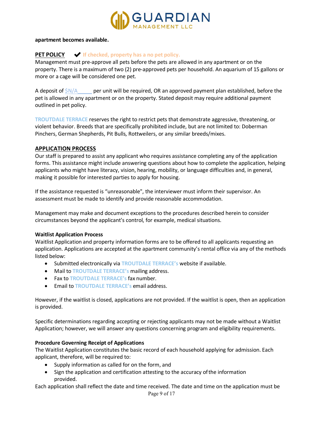

#### **apartment becomes available.**

# **PET POLICY** ✔ **If checked, property has a no pet policy.**

Management must pre-approve all pets before the pets are allowed in any apartment or on the property. There is a maximum of two (2) pre-approved pets per household. An aquarium of 15 gallons or more or a cage will be considered one pet.

A deposit of  $$N/A$  per unit will be required, OR an approved payment plan established, before the pet is allowed in any apartment or on the property. Stated deposit may require additional payment outlined in pet policy.

**TROUTDALE TERRACE** reserves the right to restrict pets that demonstrate aggressive, threatening, or violent behavior. Breeds that are specifically prohibited include, but are not limited to: Doberman Pinchers, German Shepherds, Pit Bulls, Rottweilers, or any similar breeds/mixes.

#### **APPLICATION PROCESS**

Our staff is prepared to assist any applicant who requires assistance completing any of the application forms. This assistance might include answering questions about how to complete the application, helping applicants who might have literacy, vision, hearing, mobility, or language difficulties and, in general, making it possible for interested parties to apply for housing.

If the assistance requested is "unreasonable", the interviewer must inform their supervisor. An assessment must be made to identify and provide reasonable accommodation.

Management may make and document exceptions to the procedures described herein to consider circumstances beyond the applicant's control, for example, medical situations.

#### **Waitlist Application Process**

Waitlist Application and property information forms are to be offered to all applicants requesting an application. Applications are accepted at the apartment community's rental office via any of the methods listed below:

- Submitted electronically via **TROUTDALE TERRACE's** website if available.
- Mail to **TROUTDALE TERRACE's** mailing address.
- Fax to **TROUTDALE TERRACE's** fax number.
- Email to **TROUTDALE TERRACE's** email address.

However, if the waitlist is closed, applications are not provided. If the waitlist is open, then an application is provided.

Specific determinations regarding accepting or rejecting applicants may not be made without a Waitlist Application; however, we will answer any questions concerning program and eligibility requirements.

## **Procedure Governing Receipt of Applications**

The Waitlist Application constitutes the basic record of each household applying for admission. Each applicant, therefore, will be required to:

- Supply information as called for on the form, and
- Sign the application and certification attesting to the accuracy ofthe information provided.

Each application shall reflect the date and time received. The date and time on the application must be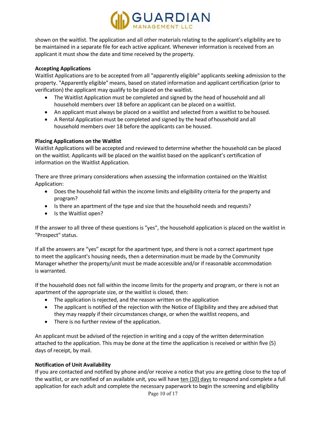

shown on the waitlist. The application and all other materials relating to the applicant's eligibility are to be maintained in a separate file for each active applicant. Whenever information is received from an applicant it must show the date and time received by the property.

#### **Accepting Applications**

Waitlist Applications are to be accepted from all "apparently eligible" applicants seeking admission to the property. "Apparently eligible" means, based on stated information and applicant certification (prior to verification) the applicant may qualify to be placed on the waitlist.

- The Waitlist Application must be completed and signed by the head of household and all household members over 18 before an applicant can be placed on a waitlist.
- An applicant must always be placed on a waitlist and selected from a waitlist to be housed.
- A Rental Application must be completed and signed by the head ofhousehold and all household members over 18 before the applicants can be housed.

## **Placing Applications on the Waitlist**

Waitlist Applications will be accepted and reviewed to determine whether the household can be placed on the waitlist. Applicants will be placed on the waitlist based on the applicant's certification of information on the Waitlist Application.

There are three primary considerations when assessing the information contained on the Waitlist Application:

- Does the household fall within the income limits and eligibility criteria for the property and program?
- Is there an apartment of the type and size that the household needs and requests?
- Is the Waitlist open?

If the answer to all three of these questions is "yes", the household application is placed on the waitlist in "Prospect" status.

If all the answers are "yes" except for the apartment type, and there is not a correct apartment type to meet the applicant's housing needs, then a determination must be made by the Community Manager whether the property/unit must be made accessible and/or if reasonable accommodation is warranted.

If the household does not fall within the income limits for the property and program, or there is not an apartment of the appropriate size, or the waitlist is closed, then:

- The application is rejected, and the reason written on the application
- The applicant is notified of the rejection with the Notice of Eligibility and they are advised that they may reapply if their circumstances change, or when the waitlist reopens, and
- There is no further review of the application.

An applicant must be advised of the rejection in writing and a copy of the written determination attached to the application. This may be done at the time the application is received or within five (5) days of receipt, by mail.

## **Notification of Unit Availability**

If you are contacted and notified by phone and/or receive a notice that you are getting close to the top of the waitlist, or are notified of an available unit, you will have ten (10) days to respond and complete a full application for each adult and complete the necessary paperwork to begin the screening and eligibility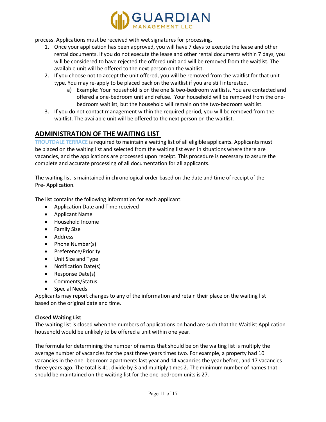

process. Applications must be received with wet signatures for processing.

- 1. Once your application has been approved, you will have 7 days to execute the lease and other rental documents. If you do not execute the lease and other rental documents within 7 days, you will be considered to have rejected the offered unit and will be removed from the waitlist. The available unit will be offered to the next person on the waitlist.
- 2. If you choose not to accept the unit offered, you will be removed from the waitlist for that unit type. You may re-apply to be placed back on the waitlist if you are still interested.
	- a) Example: Your household is on the one & two-bedroom waitlists. You are contacted and offered a one-bedroom unit and refuse. Your household will be removed from the onebedroom waitlist, but the household will remain on the two-bedroom waitlist.
- 3. If you do not contact management within the required period, you will be removed from the waitlist. The available unit will be offered to the next person on the waitlist.

# **ADMINISTRATION OF THE WAITING LIST**

**TROUTDALE TERRACE** is required to maintain a waiting list of all eligible applicants. Applicants must be placed on the waiting list and selected from the waiting list even in situations where there are vacancies, and the applications are processed upon receipt. This procedure is necessary to assure the complete and accurate processing of all documentation for all applicants.

The waiting list is maintained in chronological order based on the date and time of receipt of the Pre- Application.

The list contains the following information for each applicant:

- Application Date and Time received
- Applicant Name
- Household Income
- Family Size
- Address
- Phone Number(s)
- Preference/Priority
- Unit Size and Type
- Notification Date(s)
- Response Date(s)
- Comments/Status
- Special Needs

Applicants may report changes to any of the information and retain their place on the waiting list based on the original date and time.

#### **Closed Waiting List**

The waiting list is closed when the numbers of applications on hand are such that the Waitlist Application household would be unlikely to be offered a unit within one year.

The formula for determining the number of names that should be on the waiting list is multiply the average number of vacancies for the past three years times two. For example, a property had 10 vacancies in the one- bedroom apartments last year and 14 vacancies the year before, and 17 vacancies three years ago. The total is 41, divide by 3 and multiply times 2. The minimum number of names that should be maintained on the waiting list for the one-bedroom units is 27.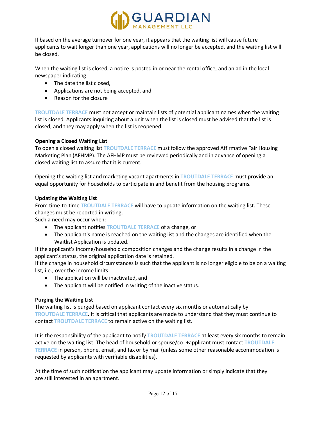

If based on the average turnover for one year, it appears that the waiting list will cause future applicants to wait longer than one year, applications will no longer be accepted, and the waiting list will be closed.

When the waiting list is closed, a notice is posted in or near the rental office, and an ad in the local newspaper indicating:

- The date the list closed,
- Applications are not being accepted, and
- Reason for the closure

**TROUTDALE TERRACE** must not accept or maintain lists of potential applicant names when the waiting list is closed. Applicants inquiring about a unit when the list is closed must be advised that the list is closed, and they may apply when the list is reopened.

## **Opening a Closed Waiting List**

To open a closed waiting list **TROUTDALE TERRACE** must follow the approved Affirmative Fair Housing Marketing Plan (AFHMP). The AFHMP must be reviewed periodically and in advance of opening a closed waiting list to assure that it is current.

Opening the waiting list and marketing vacant apartments in **TROUTDALE TERRACE** must provide an equal opportunity for households to participate in and benefit from the housing programs.

## **Updating the Waiting List**

From time-to-time **TROUTDALE TERRACE** will have to update information on the waiting list. These changes must be reported in writing.

Such a need may occur when:

- The applicant notifies **TROUTDALE TERRACE** of a change, or
- The applicant's name is reached on the waiting list and the changes are identified when the Waitlist Application is updated.

If the applicant's income/household composition changes and the change results in a change in the applicant's status, the original application date is retained.

If the change in household circumstances is such that the applicant is no longer eligible to be on a waiting list, i.e., over the income limits:

- The application will be inactivated, and
- The applicant will be notified in writing of the inactive status.

## **Purging the Waiting List**

The waiting list is purged based on applicant contact every six months or automatically by **TROUTDALE TERRACE**. It is critical that applicants are made to understand that they must continue to contact **TROUTDALE TERRACE** to remain active on the waiting list.

It is the responsibility of the applicant to notify **TROUTDALE TERRACE** at least every six months to remain active on the waiting list. The head of household or spouse/co- +applicant must contact **TROUTDALE TERRACE** in person, phone, email, and fax or by mail (unless some other reasonable accommodation is requested by applicants with verifiable disabilities).

At the time of such notification the applicant may update information or simply indicate that they are still interested in an apartment.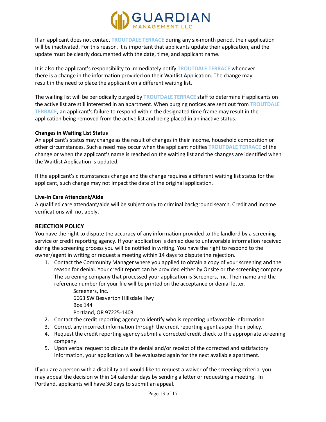

If an applicant does not contact **TROUTDALE TERRACE** during any six-month period, their application will be inactivated. For this reason, it is important that applicants update their application, and the update must be clearly documented with the date, time, and applicant name.

It is also the applicant's responsibility to immediately notify **TROUTDALE TERRACE** whenever there is a change in the information provided on their Waitlist Application. The change may result in the need to place the applicant on a different waiting list.

The waiting list will be periodically purged by **TROUTDALE TERRACE** staff to determine if applicants on the active list are still interested in an apartment. When purging notices are sent out from **TROUTDALE TERRACE**, an applicant's failure to respond within the designated time frame may result in the application being removed from the active list and being placed in an inactive status.

#### **Changes in Waiting List Status**

An applicant's status may change as the result of changes in their income, household composition or other circumstances. Such a need may occur when the applicant notifies **TROUTDALE TERRACE** of the change or when the applicant's name is reached on the waiting list and the changes are identified when the Waitlist Application is updated.

If the applicant's circumstances change and the change requires a different waiting list status for the applicant, such change may not impact the date of the original application.

#### **Live-in Care Attendant/Aide**

A qualified care attendant/aide will be subject only to criminal background search. Credit and income verifications will not apply.

#### **REJECTION POLICY**

You have the right to dispute the accuracy of any information provided to the landlord by a screening service or credit reporting agency. If your application is denied due to unfavorable information received during the screening process you will be notified in writing. You have the right to respond to the owner/agent in writing or request a meeting within 14 days to dispute the rejection.

1. Contact the Community Manager where you applied to obtain a copy of your screening and the reason for denial. Your credit report can be provided either by Onsite or the screening company. The screening company that processed your application is Screeners, Inc. Their name and the reference number for your file will be printed on the acceptance or denial letter.

> Screeners, Inc. 6663 SW Beaverton Hillsdale Hwy Box 144 Portland, OR 97225-1403

- 2. Contact the credit reporting agency to identify who is reporting unfavorable information.
- 3. Correct any incorrect information through the credit reporting agent as per their policy.
- 4. Request the credit reporting agency submit a corrected credit check to the appropriate screening company.
- 5. Upon verbal request to dispute the denial and/or receipt of the corrected and satisfactory information, your application will be evaluated again for the next available apartment.

If you are a person with a disability and would like to request a waiver of the screening criteria, you may appeal the decision within 14 calendar days by sending a letter or requesting a meeting. In Portland, applicants will have 30 days to submit an appeal.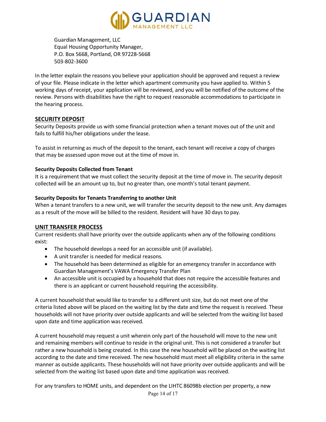

Guardian Management, LLC Equal Housing Opportunity Manager, P.O. Box 5668, Portland, OR 97228-5668 503-802-3600

In the letter explain the reasons you believe your application should be approved and request a review of your file. Please indicate in the letter which apartment community you have applied to. Within 5 working days of receipt, your application will be reviewed, and you will be notified of the outcome of the review. Persons with disabilities have the right to request reasonable accommodations to participate in the hearing process.

## **SECURITY DEPOSIT**

Security Deposits provide us with some financial protection when a tenant moves out of the unit and fails to fulfill his/her obligations under the lease.

To assist in returning as much of the deposit to the tenant, each tenant will receive a copy of charges that may be assessed upon move out at the time of move in.

#### **Security Deposits Collected from Tenant**

It is a requirement that we must collect the security deposit at the time of move in. The security deposit collected will be an amount up to, but no greater than, one month's total tenant payment.

## **Security Deposits for Tenants Transferring to another Unit**

When a tenant transfers to a new unit, we will transfer the security deposit to the new unit. Any damages as a result of the move will be billed to the resident. Resident will have 30 days to pay.

## **UNIT TRANSFER PROCESS**

Current residents shall have priority over the outside applicants when any of the following conditions exist:

- The household develops a need for an accessible unit (if available).
- A unit transfer is needed for medical reasons.
- The household has been determined as eligible for an emergency transfer in accordance with Guardian Management's VAWA Emergency Transfer Plan
- An accessible unit is occupied by a household that does not require the accessible features and there is an applicant or current household requiring the accessibility.

A current household that would like to transfer to a different unit size, but do not meet one of the criteria listed above will be placed on the waiting list by the date and time the request is received. These households will not have priority over outside applicants and will be selected from the waiting list based upon date and time application was received.

A current household may request a unit wherein only part of the household will move to the new unit and remaining members will continue to reside in the original unit. This is not considered a transfer but rather a new household is being created. In this case the new household will be placed on the waiting list according to the date and time received. The new household must meet all eligibility criteria in the same manner as outside applicants. These households will not have priority over outside applicants and will be selected from the waiting list based upon date and time application was received.

For any transfers to HOME units, and dependent on the LIHTC 86098b election per property, a new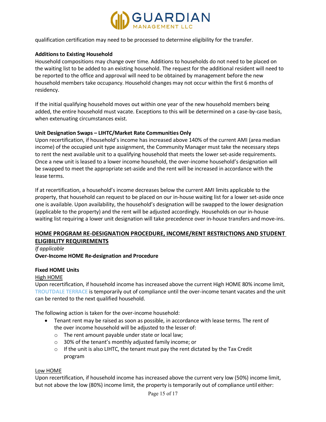

qualification certification may need to be processed to determine eligibility for the transfer.

#### **Additions to Existing Household**

Household compositions may change over time. Additions to households do not need to be placed on the waiting list to be added to an existing household. The request for the additional resident will need to be reported to the office and approval will need to be obtained by management before the new household members take occupancy. Household changes may not occur within the first 6 months of residency.

If the initial qualifying household moves out within one year of the new household members being added, the entire household must vacate. Exceptions to this will be determined on a case-by-case basis, when extenuating circumstances exist.

#### **Unit Designation Swaps – LIHTC/Market Rate Communities Only**

Upon recertification, if household's income has increased above 140% of the current AMI (area median income) of the occupied unit type assignment, the Community Manager must take the necessary steps to rent the next available unit to a qualifying household that meets the lower set-aside requirements. Once a new unit is leased to a lower income household, the over-income household's designation will be swapped to meet the appropriate set-aside and the rent will be increased in accordance with the lease terms.

If at recertification, a household's income decreases below the current AMI limits applicable to the property, that household can request to be placed on our in-house waiting list for a lower set-aside once one is available. Upon availability, the household's designation will be swapped to the lower designation (applicable to the property) and the rent will be adjusted accordingly. Households on our in-house waiting list requiring a lower unit designation will take precedence over in-house transfers and move-ins.

# **HOME PROGRAM RE-DESIGNATION PROCEDURE, INCOME/RENT RESTRICTIONS AND STUDENT ELIGIBILITY REQUIREMENTS**

*If applicable* **Over-Income HOME Re-designation and Procedure**

## **Fixed HOME Units**

High HOME

Upon recertification, if household income has increased above the current High HOME 80% income limit, **TROUTDALE TERRACE** is temporarily out of compliance until the over-income tenant vacates and the unit can be rented to the next qualified household.

The following action is taken for the over-income household:

- Tenant rent may be raised as soon as possible, in accordance with lease terms. The rent of the over income household will be adjusted to the lesser of:
	- o The rent amount payable under state or local law;
	- o 30% of the tenant's monthly adjusted family income; or
	- $\circ$  If the unit is also LIHTC, the tenant must pay the rent dictated by the Tax Credit program

#### Low HOME

Upon recertification, if household income has increased above the current very low (50%) income limit, but not above the low (80%) income limit, the property is temporarily out of compliance until either: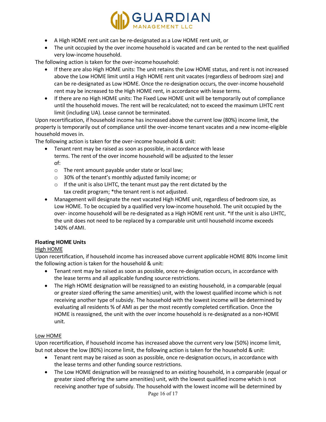

- A High HOME rent unit can be re-designated as a Low HOME rent unit, or
- The unit occupied by the over income household is vacated and can be rented to the next qualified very low-income household.

The following action is taken for the over-income household:

- If there are also High HOME units: The unit retains the Low HOME status, and rent is not increased above the Low HOME limit until a High HOME rent unit vacates (regardless of bedroom size) and can be re-designated as Low HOME. Once the re-designation occurs, the over-income household rent may be increased to the High HOME rent, in accordance with lease terms.
- If there are no High HOME units: The Fixed Low HOME unit will be temporarily out of compliance until the household moves. The rent will be recalculated; not to exceed the maximum LIHTC rent limit (including UA). Lease cannot be terminated.

Upon recertification, if household income has increased above the current low (80%) income limit, the property is temporarily out of compliance until the over-income tenant vacates and a new income-eligible household moves in.

The following action is taken for the over-income household & unit:

- Tenant rent may be raised as soon as possible, in accordance with lease terms. The rent of the over income household will be adjusted to the lesser of:
	- o The rent amount payable under state or local law;
	- o 30% of the tenant's monthly adjusted family income; or
	- $\circ$  If the unit is also LIHTC, the tenant must pay the rent dictated by the tax credit program; \*the tenant rent is not adjusted.
- Management will designate the next vacated High HOME unit, regardless of bedroom size, as Low HOME. To be occupied by a qualified very low-income household. The unit occupied by the over- income household will be re-designated as a High HOME rent unit. \*If the unit is also LIHTC, the unit does not need to be replaced by a comparable unit until household income exceeds 140% ofAMI.

#### **Floating HOME Units**

## High HOME

Upon recertification, if household income has increased above current applicable HOME 80% Income limit the following action is taken for the household & unit:

- Tenant rent may be raised as soon as possible, once re-designation occurs, in accordance with the lease terms and all applicable funding source restrictions.
- The High HOME designation will be reassigned to an existing household, in a comparable (equal or greater sized offering the same amenities) unit, with the lowest qualified income which is not receiving another type of subsidy. The household with the lowest income will be determined by evaluating all residents % of AMI as per the most recently completed certification. Once the HOME is reassigned, the unit with the over income household is re-designated as a non-HOME unit.

#### Low HOME

Upon recertification, if household income has increased above the current very low (50%) income limit, but not above the low (80%) income limit, the following action is taken for the household & unit:

- Tenant rent may be raised as soon as possible, once re-designation occurs, in accordance with the lease terms and other funding source restrictions.
- The Low HOME designation will be reassigned to an existing household, in a comparable (equal or greater sized offering the same amenities) unit, with the lowest qualified income which is not receiving another type of subsidy. The household with the lowest income will be determined by